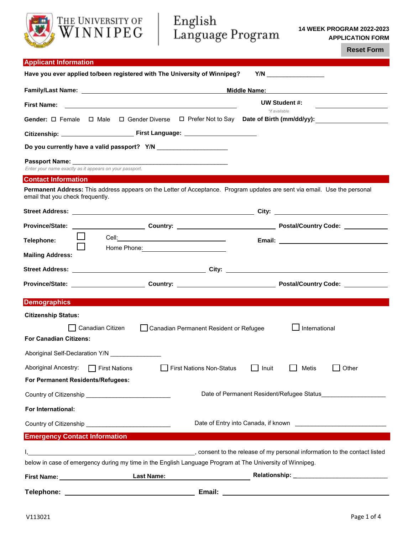# THE UNIVERSITY OF English<br>WINNIPEG Language Program

**14 WEEK PROGRAM 2022-2023 APPLICATION FORM** 

**Reset Form**

| <b>Applicant Information</b>                                                                                                                                                                                                   |                                                                                                                                             |                                                                                                                             |       |  |
|--------------------------------------------------------------------------------------------------------------------------------------------------------------------------------------------------------------------------------|---------------------------------------------------------------------------------------------------------------------------------------------|-----------------------------------------------------------------------------------------------------------------------------|-------|--|
|                                                                                                                                                                                                                                | Have you ever applied to/been registered with The University of Winnipeg?                                                                   |                                                                                                                             |       |  |
|                                                                                                                                                                                                                                | <b>Middle Name:</b><br><u> 1980 - Jan Stein Stein Stein Stein Stein Stein Stein Stein Stein Stein Stein Stein Stein Stein Stein Stein S</u> |                                                                                                                             |       |  |
| <b>First Name:</b>                                                                                                                                                                                                             |                                                                                                                                             | <b>UW Student #:</b>                                                                                                        |       |  |
|                                                                                                                                                                                                                                |                                                                                                                                             | *if available<br>Gender: $\Box$ Female $\Box$ Male $\Box$ Gender Diverse $\Box$ Prefer Not to Say Date of Birth (mm/dd/yy): |       |  |
|                                                                                                                                                                                                                                |                                                                                                                                             |                                                                                                                             |       |  |
|                                                                                                                                                                                                                                |                                                                                                                                             |                                                                                                                             |       |  |
|                                                                                                                                                                                                                                |                                                                                                                                             |                                                                                                                             |       |  |
| Enter your name exactly as it appears on your passport.                                                                                                                                                                        |                                                                                                                                             |                                                                                                                             |       |  |
| <b>Contact Information</b>                                                                                                                                                                                                     |                                                                                                                                             |                                                                                                                             |       |  |
| email that you check frequently.                                                                                                                                                                                               |                                                                                                                                             | Permanent Address: This address appears on the Letter of Acceptance. Program updates are sent via email. Use the personal   |       |  |
|                                                                                                                                                                                                                                |                                                                                                                                             |                                                                                                                             |       |  |
|                                                                                                                                                                                                                                |                                                                                                                                             | Province/State: ________________________Country: ________________________________ Postal/Country Code: ____________         |       |  |
| Telephone:                                                                                                                                                                                                                     |                                                                                                                                             |                                                                                                                             |       |  |
| <b>Mailing Address:</b>                                                                                                                                                                                                        |                                                                                                                                             |                                                                                                                             |       |  |
|                                                                                                                                                                                                                                |                                                                                                                                             |                                                                                                                             |       |  |
|                                                                                                                                                                                                                                |                                                                                                                                             | Province/State: ________________________Country: _______________________________Postal/Country Code: _________              |       |  |
| <b>Demographics</b>                                                                                                                                                                                                            |                                                                                                                                             |                                                                                                                             |       |  |
| <b>Citizenship Status:</b>                                                                                                                                                                                                     |                                                                                                                                             |                                                                                                                             |       |  |
| Canadian Citizen                                                                                                                                                                                                               | Canadian Permanent Resident or Refugee                                                                                                      | International                                                                                                               |       |  |
| <b>For Canadian Citizens:</b>                                                                                                                                                                                                  |                                                                                                                                             |                                                                                                                             |       |  |
| Aboriginal Self-Declaration Y/N                                                                                                                                                                                                |                                                                                                                                             |                                                                                                                             |       |  |
| Aboriginal Ancestry:<br>$\Box$ First Nations                                                                                                                                                                                   | <b>First Nations Non-Status</b>                                                                                                             | Metis<br>$\mathcal{L}^{\mathcal{L}}$<br>Inuit                                                                               | Other |  |
| For Permanent Residents/Refugees:                                                                                                                                                                                              |                                                                                                                                             |                                                                                                                             |       |  |
|                                                                                                                                                                                                                                |                                                                                                                                             |                                                                                                                             |       |  |
| For International:                                                                                                                                                                                                             |                                                                                                                                             |                                                                                                                             |       |  |
|                                                                                                                                                                                                                                |                                                                                                                                             |                                                                                                                             |       |  |
| <b>Emergency Contact Information</b>                                                                                                                                                                                           |                                                                                                                                             |                                                                                                                             |       |  |
|                                                                                                                                                                                                                                |                                                                                                                                             | consent to the release of my personal information to the contact listed (isted contact listed contact listed                |       |  |
|                                                                                                                                                                                                                                |                                                                                                                                             | below in case of emergency during my time in the English Language Program at The University of Winnipeg.                    |       |  |
| First Name: 1997 March 1997 March 1997 March 1997 March 1997 March 1997 March 1997 March 1997 March 1997 March 1997 March 1997 March 1997 March 1997 March 1997 March 1997 March 1997 March 1997 March 1997 March 1997 March 1 | <b>Last Name:</b>                                                                                                                           |                                                                                                                             |       |  |

**Telephone: Email:**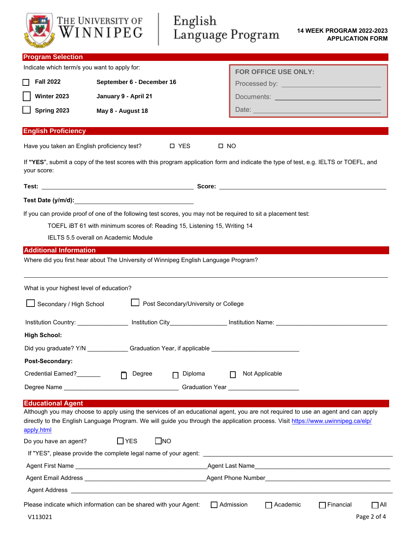| THE UNIVERSITY OF<br>WINNIPEG                                                                                                                                                                                                                                                                                                          | English                                                                   | Language Program                    | <b>14 WEEK PROGRAM 2022-2023</b><br><b>APPLICATION FORM</b> |
|----------------------------------------------------------------------------------------------------------------------------------------------------------------------------------------------------------------------------------------------------------------------------------------------------------------------------------------|---------------------------------------------------------------------------|-------------------------------------|-------------------------------------------------------------|
| <b>Program Selection</b>                                                                                                                                                                                                                                                                                                               |                                                                           |                                     |                                                             |
| Indicate which term/s you want to apply for:                                                                                                                                                                                                                                                                                           |                                                                           | <b>FOR OFFICE USE ONLY:</b>         |                                                             |
| <b>Fall 2022</b>                                                                                                                                                                                                                                                                                                                       | September 6 - December 16                                                 |                                     |                                                             |
| Winter 2023                                                                                                                                                                                                                                                                                                                            | January 9 - April 21                                                      |                                     | Documents: ___________________________________              |
| Spring 2023                                                                                                                                                                                                                                                                                                                            | May 8 - August 18                                                         |                                     |                                                             |
| <b>English Proficiency</b>                                                                                                                                                                                                                                                                                                             |                                                                           |                                     |                                                             |
| Have you taken an English proficiency test?                                                                                                                                                                                                                                                                                            | <b>D</b> YES                                                              | $\square$ NO                        |                                                             |
| If "YES", submit a copy of the test scores with this program application form and indicate the type of test, e.g. IELTS or TOEFL, and<br>your score:                                                                                                                                                                                   |                                                                           |                                     |                                                             |
|                                                                                                                                                                                                                                                                                                                                        |                                                                           |                                     |                                                             |
| Test Date (y/m/d): Notified that the contract of the contract of the contract of the contract of the contract of the contract of the contract of the contract of the contract of the contract of the contract of the contract                                                                                                          |                                                                           |                                     |                                                             |
| If you can provide proof of one of the following test scores, you may not be required to sit a placement test:<br>IELTS 5.5 overall on Academic Module                                                                                                                                                                                 | TOEFL iBT 61 with minimum scores of: Reading 15, Listening 15, Writing 14 |                                     |                                                             |
| <b>Additional Information</b>                                                                                                                                                                                                                                                                                                          |                                                                           |                                     |                                                             |
| What is your highest level of education?<br>Secondary / High School                                                                                                                                                                                                                                                                    | Post Secondary/University or College                                      |                                     |                                                             |
|                                                                                                                                                                                                                                                                                                                                        |                                                                           |                                     |                                                             |
| <b>High School:</b>                                                                                                                                                                                                                                                                                                                    |                                                                           |                                     |                                                             |
| Did you graduate? Y/N Graduation Year, if applicable Contract Control of the Control of Control of Control of Co                                                                                                                                                                                                                       |                                                                           |                                     |                                                             |
| Post-Secondary:                                                                                                                                                                                                                                                                                                                        |                                                                           |                                     |                                                             |
| Credential Earned?                                                                                                                                                                                                                                                                                                                     | Diploma<br>Degree<br>$\Box$<br>n.                                         | Not Applicable<br>П                 |                                                             |
|                                                                                                                                                                                                                                                                                                                                        |                                                                           |                                     |                                                             |
| <b>Educational Agent</b><br>Although you may choose to apply using the services of an educational agent, you are not required to use an agent and can apply<br>directly to the English Language Program. We will guide you through the application process. Visit https://www.uwinnipeg.ca/elp/<br>apply.html<br>Do you have an agent? | $\Box$ YES<br>$\square$ NO                                                |                                     |                                                             |
|                                                                                                                                                                                                                                                                                                                                        |                                                                           |                                     |                                                             |
|                                                                                                                                                                                                                                                                                                                                        |                                                                           |                                     |                                                             |
| Please indicate which information can be shared with your Agent:<br>V113021                                                                                                                                                                                                                                                            |                                                                           | $\Box$ Academic<br>$\Box$ Admission | $\Box$ Financial<br>$\Box$ All<br>Page 2 of 4               |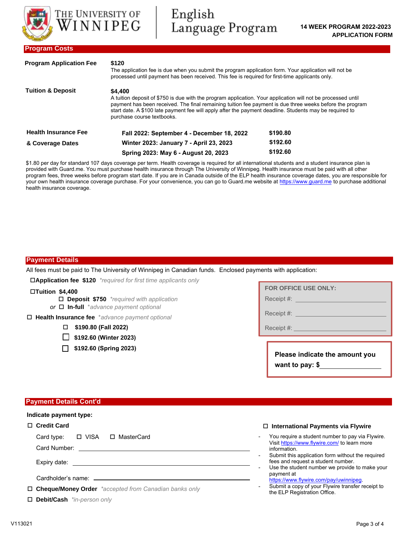

| <b>Program Application Fee</b> | \$120<br>The application fee is due when you submit the program application form. Your application will not be<br>processed until payment has been received. This fee is required for first-time applicants only.                                                                                                                                                            |          |  |
|--------------------------------|------------------------------------------------------------------------------------------------------------------------------------------------------------------------------------------------------------------------------------------------------------------------------------------------------------------------------------------------------------------------------|----------|--|
| <b>Tuition &amp; Deposit</b>   | \$4,400<br>A tuition deposit of \$750 is due with the program application. Your application will not be processed until<br>payment has been received. The final remaining tuition fee payment is due three weeks before the program<br>start date. A \$100 late payment fee will apply after the payment deadline. Students may be required to<br>purchase course textbooks. |          |  |
| <b>Health Insurance Fee</b>    | Fall 2022: September 4 - December 18, 2022                                                                                                                                                                                                                                                                                                                                   | \$190.80 |  |
| & Coverage Dates               | Winter 2023: January 7 - April 23, 2023                                                                                                                                                                                                                                                                                                                                      | \$192.60 |  |
|                                | Spring 2023: May 6 - August 20, 2023                                                                                                                                                                                                                                                                                                                                         | \$192.60 |  |

\$1.80 per day for standard 107 days coverage per term. Health coverage is required for all international students and a student insurance plan is provided with Guard.me. You must purchase health insurance through The University of Winnipeg. Health insurance must be paid with all other program fees, three weeks before program start date. If you are in Canada outside of the ELP health insurance coverage dates, you are responsible for your own health insurance coverage purchase. For your convenience, you can go to Guard.me website at <https://www.guard.me> to purchase additional health insurance coverage.

# **Payment Details**

All fees must be paid to The University of Winnipeg in Canadian funds. Enclosed payments with application:

**Application fee \$120** *\*required for first time applicants only*

### **Tuition \$4,400**

- **Deposit \$750** *\*required with application*
- *or* **In-full** \**advance payment optional*
- **Health Insurance fee** \**advance payment optional*
	- **\$190.80 (Fall 2022)**
	- **\$192.60 (Winter 2023)**
	- **\$192.60 (Spring 2023)**

| <b>FOR OFFICE USE ONLY:</b> |  |
|-----------------------------|--|
| Receipt #:                  |  |

Receipt #:

Receipt #:

| Please indicate the amount you |  |
|--------------------------------|--|
| want to pay: $$$               |  |

### **Payment Details Cont'd**

## **Indicate payment type:**

# **Credit Card**

Card type: □ VISA □ MasterCard

Card Number:

Expiry date:

Cardholder's name:

**Cheque/Money Order** *\*accepted from Canadian banks only* 

**Debit/Cash** *\*in-person only*

### **International Payments via Flywire**

- You require a student number to pay via Flywire. Visit <https://www.flywire.com/> to learn more information.
- Submit this application form without the required fees and request a student number.
- Use the student number we provide to make your payment at
- [https://www.flywire.com/pay/uwinnipeg.](https://www.flywire.com/pay/uwinnipeg) Submit a copy of your Flywire transfer receipt to the ELP Registration Office.